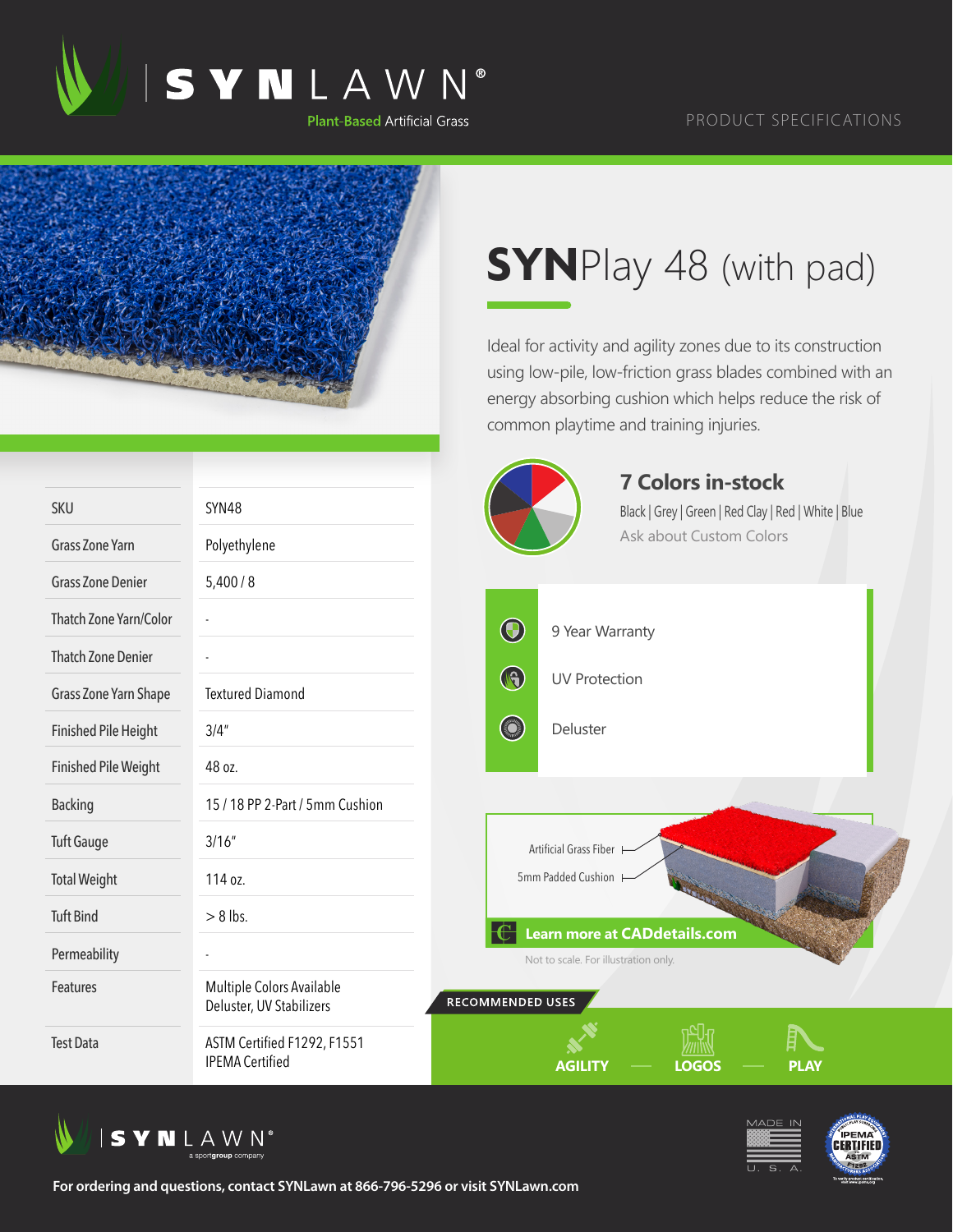



## **SYN**Play 48 (with pad)

Ideal for activity and agility zones due to its construction using low-pile, low-friction grass blades combined with an energy absorbing cushion which helps reduce the risk of common playtime and training injuries.

|                             |                                                       | <b>7 Colors in-stock</b>                                             |
|-----------------------------|-------------------------------------------------------|----------------------------------------------------------------------|
| SKU                         | SYN48                                                 | Black   Grey   Green   Red Clay   Red   White   Blue                 |
| <b>Grass Zone Yarn</b>      | Polyethylene                                          | <b>Ask about Custom Colors</b>                                       |
| <b>Grass Zone Denier</b>    | 5,400/8                                               |                                                                      |
| Thatch Zone Yarn/Color      |                                                       | $\bigcirc$<br>9 Year Warranty                                        |
| <b>Thatch Zone Denier</b>   |                                                       |                                                                      |
| Grass Zone Yarn Shape       | <b>Textured Diamond</b>                               | $\bigcirc$<br><b>UV Protection</b>                                   |
| <b>Finished Pile Height</b> | 3/4''                                                 | <b>Company</b><br>Deluster                                           |
| <b>Finished Pile Weight</b> | 48 oz.                                                |                                                                      |
| <b>Backing</b>              | 15 / 18 PP 2-Part / 5mm Cushion                       |                                                                      |
| <b>Tuft Gauge</b>           | 3/16''                                                | Artificial Grass Fiber                                               |
| <b>Total Weight</b>         | 114 oz.                                               | 5mm Padded Cushion                                                   |
| <b>Tuft Bind</b>            | $> 8$ lbs.                                            |                                                                      |
| Permeability                |                                                       | Learn more at CADdetails.com<br>Not to scale. For illustration only. |
| Features                    | Multiple Colors Available<br>Deluster, UV Stabilizers | RECOMMENDED USES                                                     |
| <b>Test Data</b>            | ASTM Certified F1292, F1551<br><b>IPEMA Certified</b> | <b>LOGOS</b><br><b>AGILITY</b><br><b>PLAY</b>                        |





**For ordering and questions, contact SYNLawn at 866-796-5296 or visit SYNLawn.com**